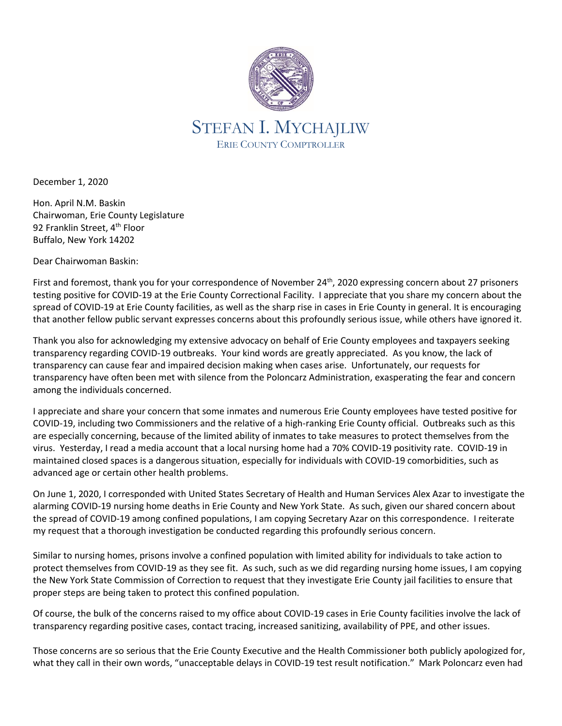

December 1, 2020

Hon. April N.M. Baskin Chairwoman, Erie County Legislature 92 Franklin Street, 4<sup>th</sup> Floor Buffalo, New York 14202

Dear Chairwoman Baskin:

First and foremost, thank you for your correspondence of November 24<sup>th</sup>, 2020 expressing concern about 27 prisoners testing positive for COVID-19 at the Erie County Correctional Facility. I appreciate that you share my concern about the spread of COVID-19 at Erie County facilities, as well as the sharp rise in cases in Erie County in general. It is encouraging that another fellow public servant expresses concerns about this profoundly serious issue, while others have ignored it.

Thank you also for acknowledging my extensive advocacy on behalf of Erie County employees and taxpayers seeking transparency regarding COVID-19 outbreaks. Your kind words are greatly appreciated. As you know, the lack of transparency can cause fear and impaired decision making when cases arise. Unfortunately, our requests for transparency have often been met with silence from the Poloncarz Administration, exasperating the fear and concern among the individuals concerned.

I appreciate and share your concern that some inmates and numerous Erie County employees have tested positive for COVID-19, including two Commissioners and the relative of a high-ranking Erie County official. Outbreaks such as this are especially concerning, because of the limited ability of inmates to take measures to protect themselves from the virus. Yesterday, I read a media account that a local nursing home had a 70% COVID-19 positivity rate. COVID-19 in maintained closed spaces is a dangerous situation, especially for individuals with COVID-19 comorbidities, such as advanced age or certain other health problems.

On June 1, 2020, I corresponded with United States Secretary of Health and Human Services Alex Azar to investigate the alarming COVID-19 nursing home deaths in Erie County and New York State. As such, given our shared concern about the spread of COVID-19 among confined populations, I am copying Secretary Azar on this correspondence. I reiterate my request that a thorough investigation be conducted regarding this profoundly serious concern.

Similar to nursing homes, prisons involve a confined population with limited ability for individuals to take action to protect themselves from COVID-19 as they see fit. As such, such as we did regarding nursing home issues, I am copying the New York State Commission of Correction to request that they investigate Erie County jail facilities to ensure that proper steps are being taken to protect this confined population.

Of course, the bulk of the concerns raised to my office about COVID-19 cases in Erie County facilities involve the lack of transparency regarding positive cases, contact tracing, increased sanitizing, availability of PPE, and other issues.

Those concerns are so serious that the Erie County Executive and the Health Commissioner both publicly apologized for, what they call in their own words, "unacceptable delays in COVID-19 test result notification." Mark Poloncarz even had